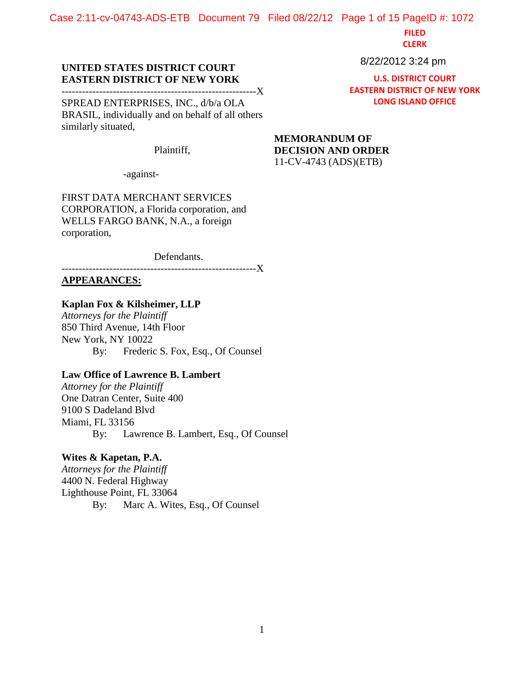Case 2:11-cv-04743-ADS-ETB Document 79 Filed 08/22/12 Page 1 of 15 PageID #: 1072

**FILED**

**CLERK**

### 8/22/2012 3:24 pm

**U.S. DISTRICT COURT EASTERN DISTRICT OF NEW YORK LONG ISLAND OFFICE**

## **UNITED STATES DISTRICT COURT EASTERN DISTRICT OF NEW YORK**

---------------------------------------------------------X SPREAD ENTERPRISES, INC., d/b/a OLA

BRASIL, individually and on behalf of all others similarly situated,

Plaintiff,

-against-

FIRST DATA MERCHANT SERVICES CORPORATION, a Florida corporation, and WELLS FARGO BANK, N.A., a foreign corporation,

Defendants.

---------------------------------------------------------X **APPEARANCES:**

# **Kaplan Fox & Kilsheimer, LLP**

*Attorneys for the Plaintiff* 850 Third Avenue, 14th Floor New York, NY 10022 By: Frederic S. Fox, Esq., Of Counsel

## **Law Office of Lawrence B. Lambert**

*Attorney for the Plaintiff* One Datran Center, Suite 400 9100 S Dadeland Blvd Miami, FL 33156 By: Lawrence B. Lambert, Esq., Of Counsel

## **Wites & Kapetan, P.A.**

*Attorneys for the Plaintiff* 4400 N. Federal Highway Lighthouse Point, FL 33064 By: Marc A. Wites, Esq., Of Counsel **MEMORANDUM OF DECISION AND ORDER** 11-CV-4743 (ADS)(ETB)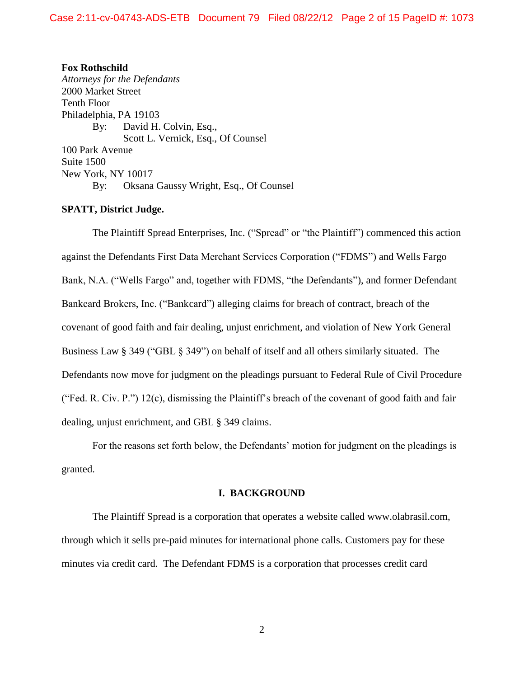**Fox Rothschild** *Attorneys for the Defendants* 2000 Market Street Tenth Floor Philadelphia, PA 19103 By: David H. Colvin, Esq., Scott L. Vernick, Esq., Of Counsel 100 Park Avenue Suite 1500 New York, NY 10017 By: Oksana Gaussy Wright, Esq., Of Counsel

#### **SPATT, District Judge.**

The Plaintiff Spread Enterprises, Inc. ("Spread" or "the Plaintiff") commenced this action against the Defendants First Data Merchant Services Corporation ("FDMS") and Wells Fargo Bank, N.A. ("Wells Fargo" and, together with FDMS, "the Defendants"), and former Defendant Bankcard Brokers, Inc. ("Bankcard") alleging claims for breach of contract, breach of the covenant of good faith and fair dealing, unjust enrichment, and violation of New York General Business Law § 349 ("GBL § 349") on behalf of itself and all others similarly situated. The Defendants now move for judgment on the pleadings pursuant to Federal Rule of Civil Procedure ("Fed. R. Civ. P.") 12(c), dismissing the Plaintiff's breach of the covenant of good faith and fair dealing, unjust enrichment, and GBL § 349 claims.

For the reasons set forth below, the Defendants' motion for judgment on the pleadings is granted.

#### **I. BACKGROUND**

The Plaintiff Spread is a corporation that operates a website called www.olabrasil.com, through which it sells pre-paid minutes for international phone calls. Customers pay for these minutes via credit card. The Defendant FDMS is a corporation that processes credit card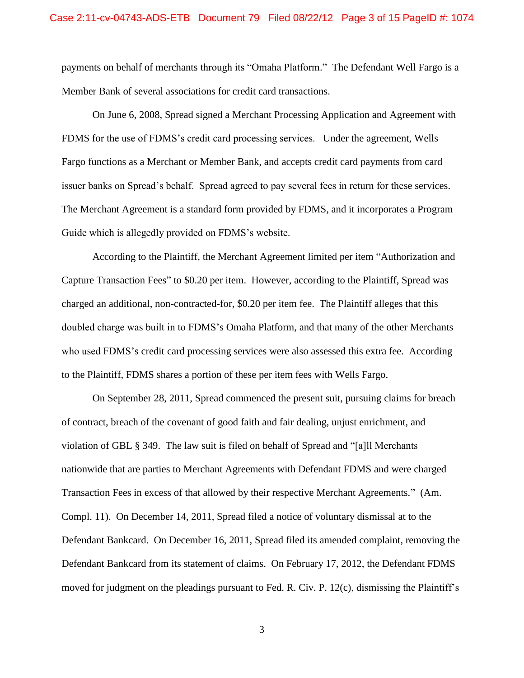payments on behalf of merchants through its "Omaha Platform." The Defendant Well Fargo is a Member Bank of several associations for credit card transactions.

On June 6, 2008, Spread signed a Merchant Processing Application and Agreement with FDMS for the use of FDMS's credit card processing services. Under the agreement, Wells Fargo functions as a Merchant or Member Bank, and accepts credit card payments from card issuer banks on Spread's behalf. Spread agreed to pay several fees in return for these services. The Merchant Agreement is a standard form provided by FDMS, and it incorporates a Program Guide which is allegedly provided on FDMS's website.

According to the Plaintiff, the Merchant Agreement limited per item "Authorization and Capture Transaction Fees" to \$0.20 per item. However, according to the Plaintiff, Spread was charged an additional, non-contracted-for, \$0.20 per item fee. The Plaintiff alleges that this doubled charge was built in to FDMS's Omaha Platform, and that many of the other Merchants who used FDMS's credit card processing services were also assessed this extra fee. According to the Plaintiff, FDMS shares a portion of these per item fees with Wells Fargo.

On September 28, 2011, Spread commenced the present suit, pursuing claims for breach of contract, breach of the covenant of good faith and fair dealing, unjust enrichment, and violation of GBL § 349. The law suit is filed on behalf of Spread and "[a]ll Merchants nationwide that are parties to Merchant Agreements with Defendant FDMS and were charged Transaction Fees in excess of that allowed by their respective Merchant Agreements." (Am. Compl. 11). On December 14, 2011, Spread filed a notice of voluntary dismissal at to the Defendant Bankcard. On December 16, 2011, Spread filed its amended complaint, removing the Defendant Bankcard from its statement of claims. On February 17, 2012, the Defendant FDMS moved for judgment on the pleadings pursuant to Fed. R. Civ. P. 12(c), dismissing the Plaintiff's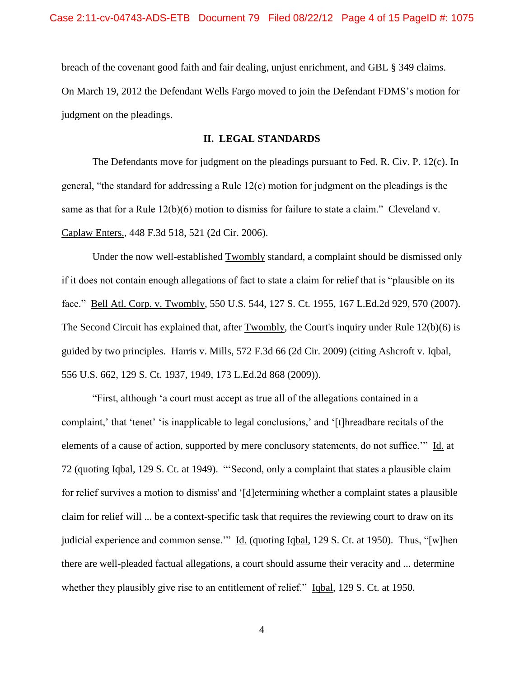breach of the covenant good faith and fair dealing, unjust enrichment, and GBL § 349 claims. On March 19, 2012 the Defendant Wells Fargo moved to join the Defendant FDMS's motion for judgment on the pleadings.

### **II. LEGAL STANDARDS**

The Defendants move for judgment on the pleadings pursuant to Fed. R. Civ. P. 12(c). In general, "the standard for addressing a Rule 12(c) motion for judgment on the pleadings is the same as that for a Rule 12(b)(6) motion to dismiss for failure to state a claim." Cleveland v. Caplaw Enters., 448 F.3d 518, 521 (2d Cir. 2006).

Under the now well-established Twombly standard, a complaint should be dismissed only if it does not contain enough allegations of fact to state a claim for relief that is "plausible on its face." Bell Atl. Corp. v. Twombly, 550 U.S. 544, 127 S. Ct. 1955, 167 L.Ed.2d 929, 570 (2007). The Second Circuit has explained that, after Twombly, the Court's inquiry under Rule 12(b)(6) is guided by two principles. Harris v. Mills, 572 F.3d 66 (2d Cir. 2009) (citing Ashcroft v. Iqbal, 556 U.S. 662, 129 S. Ct. 1937, 1949, 173 L.Ed.2d 868 (2009)).

"First, although 'a court must accept as true all of the allegations contained in a complaint,' that 'tenet' 'is inapplicable to legal conclusions,' and '[t]hreadbare recitals of the elements of a cause of action, supported by mere conclusory statements, do not suffice.'" Id. at 72 (quoting Iqbal, 129 S. Ct. at 1949). "'Second, only a complaint that states a plausible claim for relief survives a motion to dismiss' and '[d]etermining whether a complaint states a plausible claim for relief will ... be a context-specific task that requires the reviewing court to draw on its judicial experience and common sense." Id. (quoting Iqbal, 129 S. Ct. at 1950). Thus, "[w]hen there are well-pleaded factual allegations, a court should assume their veracity and ... determine whether they plausibly give rise to an entitlement of relief." Iqbal, 129 S. Ct. at 1950.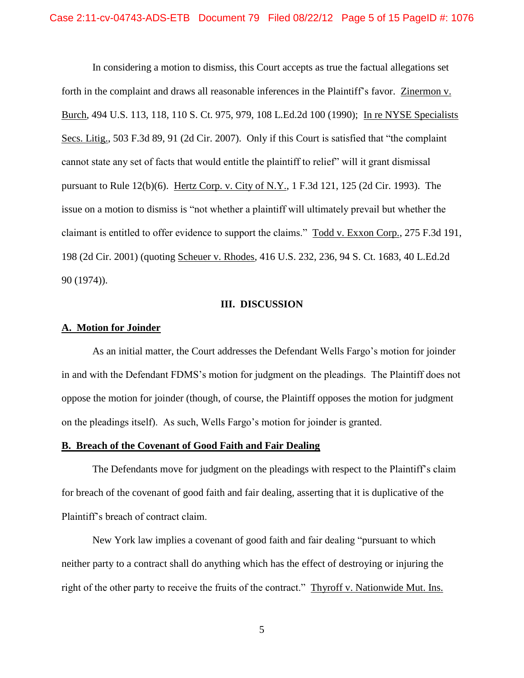In considering a motion to dismiss, this Court accepts as true the factual allegations set forth in the complaint and draws all reasonable inferences in the Plaintiff's favor. Zinermon v. Burch, 494 U.S. 113, 118, 110 S. Ct. 975, 979, 108 L.Ed.2d 100 (1990); In re NYSE Specialists Secs. Litig., 503 F.3d 89, 91 (2d Cir. 2007). Only if this Court is satisfied that "the complaint cannot state any set of facts that would entitle the plaintiff to relief" will it grant dismissal pursuant to Rule 12(b)(6). Hertz Corp. v. City of N.Y., 1 F.3d 121, 125 (2d Cir. 1993). The issue on a motion to dismiss is "not whether a plaintiff will ultimately prevail but whether the claimant is entitled to offer evidence to support the claims." Todd v. Exxon Corp., 275 F.3d 191, 198 (2d Cir. 2001) (quoting Scheuer v. Rhodes, 416 U.S. 232, 236, 94 S. Ct. 1683, 40 L.Ed.2d 90 (1974)).

### **III. DISCUSSION**

#### **A. Motion for Joinder**

As an initial matter, the Court addresses the Defendant Wells Fargo's motion for joinder in and with the Defendant FDMS's motion for judgment on the pleadings. The Plaintiff does not oppose the motion for joinder (though, of course, the Plaintiff opposes the motion for judgment on the pleadings itself). As such, Wells Fargo's motion for joinder is granted.

#### **B. Breach of the Covenant of Good Faith and Fair Dealing**

The Defendants move for judgment on the pleadings with respect to the Plaintiff's claim for breach of the covenant of good faith and fair dealing, asserting that it is duplicative of the Plaintiff's breach of contract claim.

New York law implies a covenant of good faith and fair dealing "pursuant to which neither party to a contract shall do anything which has the effect of destroying or injuring the right of the other party to receive the fruits of the contract." Thyroff v. Nationwide Mut. Ins.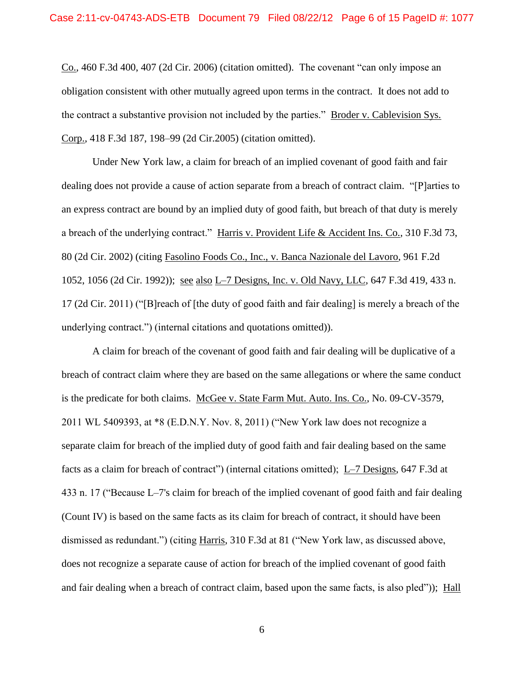Co., 460 F.3d 400, 407 (2d Cir. 2006) (citation omitted). The covenant "can only impose an obligation consistent with other mutually agreed upon terms in the contract. It does not add to the contract a substantive provision not included by the parties." Broder v. Cablevision Sys. Corp., 418 F.3d 187, 198–99 (2d Cir.2005) (citation omitted).

Under New York law, a claim for breach of an implied covenant of good faith and fair dealing does not provide a cause of action separate from a breach of contract claim. "[P]arties to an express contract are bound by an implied duty of good faith, but breach of that duty is merely a breach of the underlying contract." Harris v. Provident Life & Accident Ins. Co., 310 F.3d 73, 80 (2d Cir. 2002) (citing Fasolino Foods Co., Inc., v. Banca Nazionale del Lavoro, 961 F.2d 1052, 1056 (2d Cir. 1992)); see also L–7 Designs, Inc. v. Old Navy, LLC, 647 F.3d 419, 433 n. 17 (2d Cir. 2011) ("[B]reach of [the duty of good faith and fair dealing] is merely a breach of the underlying contract.") (internal citations and quotations omitted)).

A claim for breach of the covenant of good faith and fair dealing will be duplicative of a breach of contract claim where they are based on the same allegations or where the same conduct is the predicate for both claims. McGee v. State Farm Mut. Auto. Ins. Co., No. 09-CV-3579, 2011 WL 5409393, at \*8 (E.D.N.Y. Nov. 8, 2011) ("New York law does not recognize a separate claim for breach of the implied duty of good faith and fair dealing based on the same facts as a claim for breach of contract") (internal citations omitted); L–7 Designs, 647 F.3d at 433 n. 17 ("Because L–7's claim for breach of the implied covenant of good faith and fair dealing (Count IV) is based on the same facts as its claim for breach of contract, it should have been dismissed as redundant.") (citing Harris, 310 F.3d at 81 ("New York law, as discussed above, does not recognize a separate cause of action for breach of the implied covenant of good faith and fair dealing when a breach of contract claim, based upon the same facts, is also pled")); Hall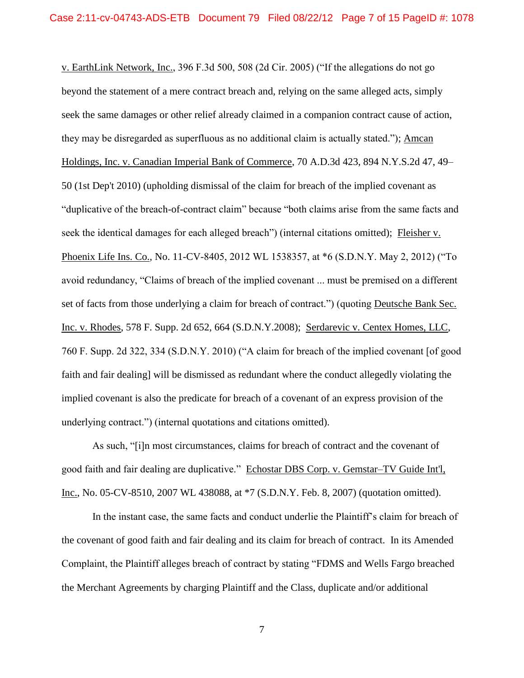v. EarthLink Network, Inc., 396 F.3d 500, 508 (2d Cir. 2005) ("If the allegations do not go beyond the statement of a mere contract breach and, relying on the same alleged acts, simply seek the same damages or other relief already claimed in a companion contract cause of action, they may be disregarded as superfluous as no additional claim is actually stated."); Amcan Holdings, Inc. v. Canadian Imperial Bank of Commerce, 70 A.D.3d 423, 894 N.Y.S.2d 47, 49– 50 (1st Dep't 2010) (upholding dismissal of the claim for breach of the implied covenant as "duplicative of the breach-of-contract claim" because "both claims arise from the same facts and seek the identical damages for each alleged breach") (internal citations omitted); Fleisher v. Phoenix Life Ins. Co., No. 11-CV-8405, 2012 WL 1538357, at \*6 (S.D.N.Y. May 2, 2012) ("To avoid redundancy, "Claims of breach of the implied covenant ... must be premised on a different set of facts from those underlying a claim for breach of contract.") (quoting Deutsche Bank Sec. Inc. v. Rhodes, 578 F. Supp. 2d 652, 664 (S.D.N.Y.2008); Serdarevic v. Centex Homes, LLC, 760 F. Supp. 2d 322, 334 (S.D.N.Y. 2010) ("A claim for breach of the implied covenant [of good faith and fair dealing] will be dismissed as redundant where the conduct allegedly violating the implied covenant is also the predicate for breach of a covenant of an express provision of the underlying contract.") (internal quotations and citations omitted).

As such, "[i]n most circumstances, claims for breach of contract and the covenant of good faith and fair dealing are duplicative." Echostar DBS Corp. v. Gemstar–TV Guide Int'l, Inc., No. 05-CV-8510, 2007 WL 438088, at \*7 (S.D.N.Y. Feb. 8, 2007) (quotation omitted).

In the instant case, the same facts and conduct underlie the Plaintiff's claim for breach of the covenant of good faith and fair dealing and its claim for breach of contract. In its Amended Complaint, the Plaintiff alleges breach of contract by stating "FDMS and Wells Fargo breached the Merchant Agreements by charging Plaintiff and the Class, duplicate and/or additional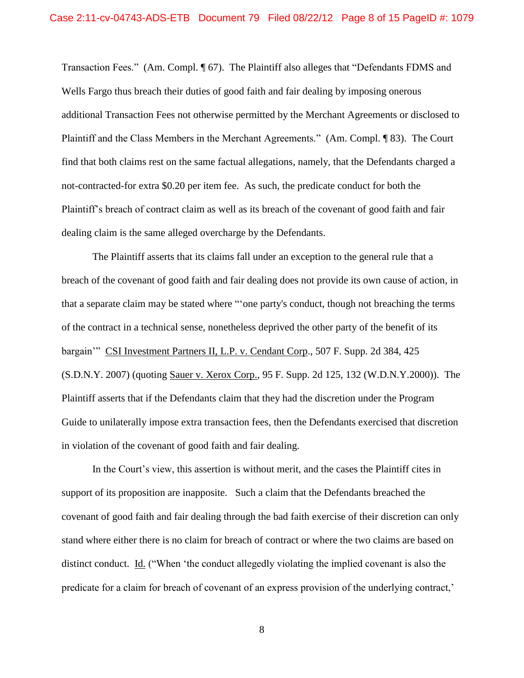Transaction Fees." (Am. Compl. ¶ 67). The Plaintiff also alleges that "Defendants FDMS and Wells Fargo thus breach their duties of good faith and fair dealing by imposing onerous additional Transaction Fees not otherwise permitted by the Merchant Agreements or disclosed to Plaintiff and the Class Members in the Merchant Agreements." (Am. Compl. ¶ 83). The Court find that both claims rest on the same factual allegations, namely, that the Defendants charged a not-contracted-for extra \$0.20 per item fee. As such, the predicate conduct for both the Plaintiff's breach of contract claim as well as its breach of the covenant of good faith and fair dealing claim is the same alleged overcharge by the Defendants.

The Plaintiff asserts that its claims fall under an exception to the general rule that a breach of the covenant of good faith and fair dealing does not provide its own cause of action, in that a separate claim may be stated where "'one party's conduct, though not breaching the terms of the contract in a technical sense, nonetheless deprived the other party of the benefit of its bargain'" CSI Investment Partners II, L.P. v. Cendant Corp., 507 F. Supp. 2d 384, 425 (S.D.N.Y. 2007) (quoting Sauer v. Xerox Corp., 95 F. Supp. 2d 125, 132 (W.D.N.Y.2000)). The Plaintiff asserts that if the Defendants claim that they had the discretion under the Program Guide to unilaterally impose extra transaction fees, then the Defendants exercised that discretion in violation of the covenant of good faith and fair dealing.

In the Court's view, this assertion is without merit, and the cases the Plaintiff cites in support of its proposition are inapposite. Such a claim that the Defendants breached the covenant of good faith and fair dealing through the bad faith exercise of their discretion can only stand where either there is no claim for breach of contract or where the two claims are based on distinct conduct. Id. ("When 'the conduct allegedly violating the implied covenant is also the predicate for a claim for breach of covenant of an express provision of the underlying contract,'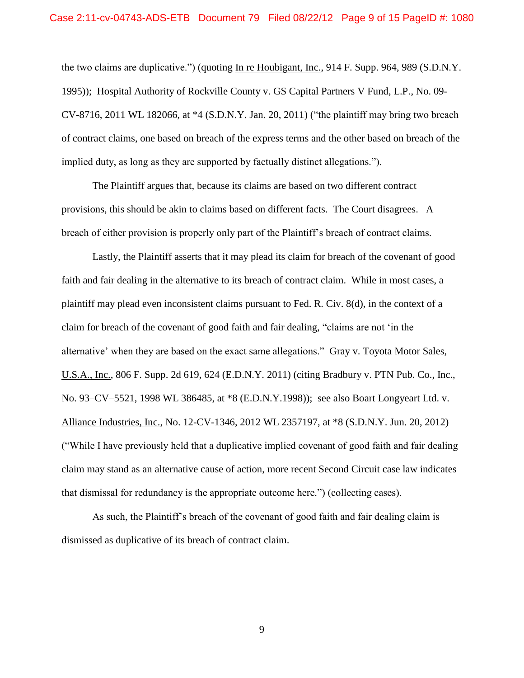the two claims are duplicative.") (quoting In re Houbigant, Inc., 914 F. Supp. 964, 989 (S.D.N.Y. 1995)); Hospital Authority of Rockville County v. GS Capital Partners V Fund, L.P., No. 09- CV-8716, 2011 WL 182066, at \*4 (S.D.N.Y. Jan. 20, 2011) ("the plaintiff may bring two breach of contract claims, one based on breach of the express terms and the other based on breach of the implied duty, as long as they are supported by factually distinct allegations.").

The Plaintiff argues that, because its claims are based on two different contract provisions, this should be akin to claims based on different facts. The Court disagrees. A breach of either provision is properly only part of the Plaintiff's breach of contract claims.

Lastly, the Plaintiff asserts that it may plead its claim for breach of the covenant of good faith and fair dealing in the alternative to its breach of contract claim. While in most cases, a plaintiff may plead even inconsistent claims pursuant to Fed. R. Civ. 8(d), in the context of a claim for breach of the covenant of good faith and fair dealing, "claims are not 'in the alternative' when they are based on the exact same allegations." Gray v. Toyota Motor Sales, U.S.A., Inc., 806 F. Supp. 2d 619, 624 (E.D.N.Y. 2011) (citing Bradbury v. PTN Pub. Co., Inc., No. 93–CV–5521, 1998 WL 386485, at \*8 (E.D.N.Y.1998)); see also Boart Longyeart Ltd. v. Alliance Industries, Inc., No. 12-CV-1346, 2012 WL 2357197, at \*8 (S.D.N.Y. Jun. 20, 2012) ("While I have previously held that a duplicative implied covenant of good faith and fair dealing claim may stand as an alternative cause of action, more recent Second Circuit case law indicates that dismissal for redundancy is the appropriate outcome here.") (collecting cases).

As such, the Plaintiff's breach of the covenant of good faith and fair dealing claim is dismissed as duplicative of its breach of contract claim.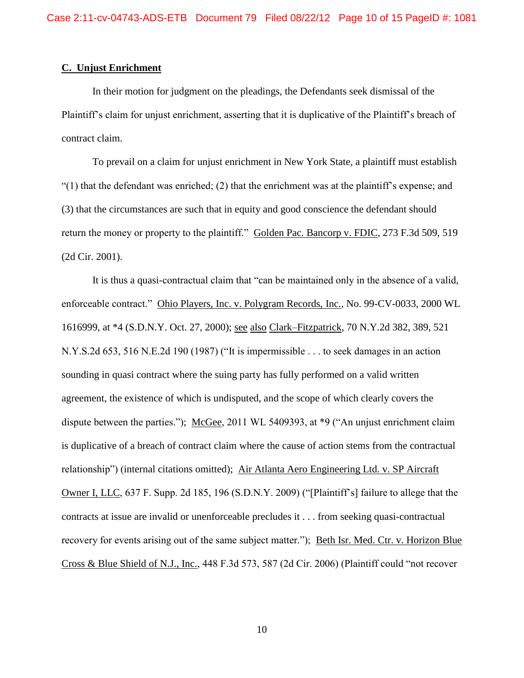### **C. Unjust Enrichment**

In their motion for judgment on the pleadings, the Defendants seek dismissal of the Plaintiff's claim for unjust enrichment, asserting that it is duplicative of the Plaintiff's breach of contract claim.

To prevail on a claim for unjust enrichment in New York State, a plaintiff must establish "(1) that the defendant was enriched; (2) that the enrichment was at the plaintiff's expense; and (3) that the circumstances are such that in equity and good conscience the defendant should return the money or property to the plaintiff." Golden Pac. Bancorp v. FDIC, 273 F.3d 509, 519 (2d Cir. 2001).

It is thus a quasi-contractual claim that "can be maintained only in the absence of a valid, enforceable contract." Ohio Players, Inc. v. Polygram Records, Inc., No. 99-CV-0033, 2000 WL 1616999, at \*4 (S.D.N.Y. Oct. 27, 2000); see also Clark–Fitzpatrick, 70 N.Y.2d 382, 389, 521 N.Y.S.2d 653, 516 N.E.2d 190 (1987) ("It is impermissible . . . to seek damages in an action sounding in quasi contract where the suing party has fully performed on a valid written agreement, the existence of which is undisputed, and the scope of which clearly covers the dispute between the parties."); McGee, 2011 WL 5409393, at \*9 ("An unjust enrichment claim is duplicative of a breach of contract claim where the cause of action stems from the contractual relationship") (internal citations omitted); Air Atlanta Aero Engineering Ltd. v. SP Aircraft Owner I, LLC, 637 F. Supp. 2d 185, 196 (S.D.N.Y. 2009) ("[Plaintiff's] failure to allege that the contracts at issue are invalid or unenforceable precludes it . . . from seeking quasi-contractual recovery for events arising out of the same subject matter."); Beth Isr. Med. Ctr. v. Horizon Blue Cross & Blue Shield of N.J., Inc., 448 F.3d 573, 587 (2d Cir. 2006) (Plaintiff could "not recover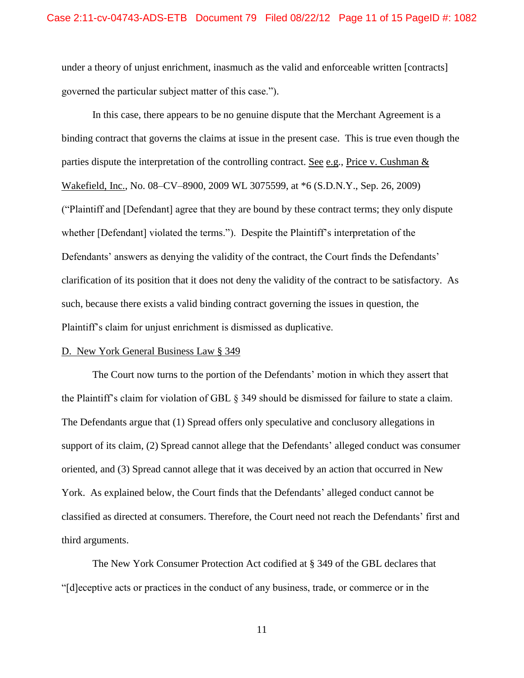under a theory of unjust enrichment, inasmuch as the valid and enforceable written [contracts] governed the particular subject matter of this case.").

In this case, there appears to be no genuine dispute that the Merchant Agreement is a binding contract that governs the claims at issue in the present case. This is true even though the parties dispute the interpretation of the controlling contract. See e.g., Price v. Cushman & Wakefield, Inc., No. 08–CV–8900, 2009 WL 3075599, at \*6 (S.D.N.Y., Sep. 26, 2009) ("Plaintiff and [Defendant] agree that they are bound by these contract terms; they only dispute whether [Defendant] violated the terms."). Despite the Plaintiff's interpretation of the Defendants' answers as denying the validity of the contract, the Court finds the Defendants' clarification of its position that it does not deny the validity of the contract to be satisfactory. As such, because there exists a valid binding contract governing the issues in question, the Plaintiff's claim for unjust enrichment is dismissed as duplicative.

### D. New York General Business Law § 349

The Court now turns to the portion of the Defendants' motion in which they assert that the Plaintiff's claim for violation of GBL § 349 should be dismissed for failure to state a claim. The Defendants argue that (1) Spread offers only speculative and conclusory allegations in support of its claim, (2) Spread cannot allege that the Defendants' alleged conduct was consumer oriented, and (3) Spread cannot allege that it was deceived by an action that occurred in New York. As explained below, the Court finds that the Defendants' alleged conduct cannot be classified as directed at consumers. Therefore, the Court need not reach the Defendants' first and third arguments.

The New York Consumer Protection Act codified at § 349 of the GBL declares that "[d]eceptive acts or practices in the conduct of any business, trade, or commerce or in the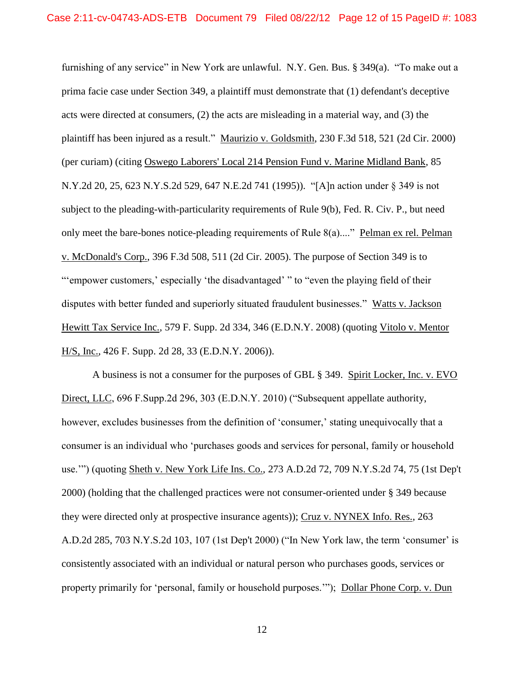furnishing of any service" in New York are unlawful. N.Y. Gen. Bus. § 349(a). "To make out a prima facie case under Section 349, a plaintiff must demonstrate that (1) defendant's deceptive acts were directed at consumers, (2) the acts are misleading in a material way, and (3) the plaintiff has been injured as a result." Maurizio v. Goldsmith, 230 F.3d 518, 521 (2d Cir. 2000) (per curiam) (citing Oswego Laborers' Local 214 Pension Fund v. Marine Midland Bank, 85 N.Y.2d 20, 25, 623 N.Y.S.2d 529, 647 N.E.2d 741 (1995)). "[A]n action under § 349 is not subject to the pleading-with-particularity requirements of Rule 9(b), Fed. R. Civ. P., but need only meet the bare-bones notice-pleading requirements of Rule 8(a)...." Pelman ex rel. Pelman v. McDonald's Corp., 396 F.3d 508, 511 (2d Cir. 2005). The purpose of Section 349 is to "'empower customers,' especially 'the disadvantaged' " to "even the playing field of their disputes with better funded and superiorly situated fraudulent businesses." Watts v. Jackson Hewitt Tax Service Inc., 579 F. Supp. 2d 334, 346 (E.D.N.Y. 2008) (quoting Vitolo v. Mentor H/S, Inc., 426 F. Supp. 2d 28, 33 (E.D.N.Y. 2006)).

A business is not a consumer for the purposes of GBL § 349. Spirit Locker, Inc. v. EVO Direct, LLC, 696 F.Supp.2d 296, 303 (E.D.N.Y. 2010) ("Subsequent appellate authority, however, excludes businesses from the definition of 'consumer,' stating unequivocally that a consumer is an individual who 'purchases goods and services for personal, family or household use.'") (quoting Sheth v. New York Life Ins. Co., 273 A.D.2d 72, 709 N.Y.S.2d 74, 75 (1st Dep't 2000) (holding that the challenged practices were not consumer-oriented under § 349 because they were directed only at prospective insurance agents)); Cruz v. NYNEX Info. Res., 263 A.D.2d 285, 703 N.Y.S.2d 103, 107 (1st Dep't 2000) ("In New York law, the term 'consumer' is consistently associated with an individual or natural person who purchases goods, services or property primarily for 'personal, family or household purposes.'"); Dollar Phone Corp. v. Dun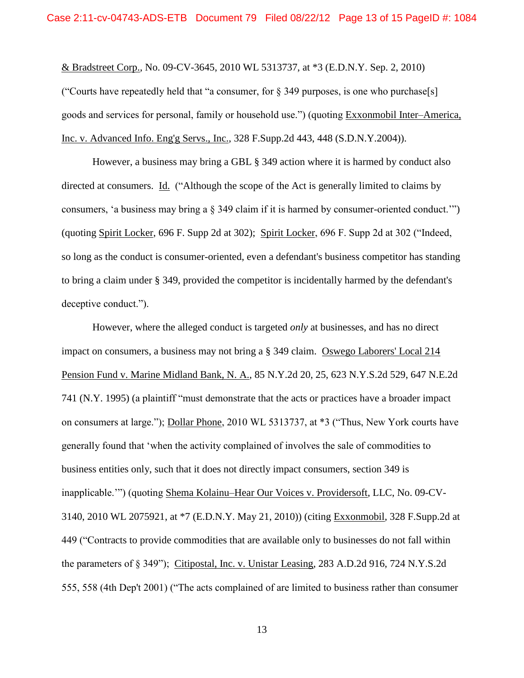& Bradstreet Corp., No. 09-CV-3645, 2010 WL 5313737, at \*3 (E.D.N.Y. Sep. 2, 2010)

("Courts have repeatedly held that "a consumer, for  $\S$  349 purposes, is one who purchase[s] goods and services for personal, family or household use.") (quoting Exxonmobil Inter–America, Inc. v. Advanced Info. Eng'g Servs., Inc., 328 F.Supp.2d 443, 448 (S.D.N.Y.2004)).

However, a business may bring a GBL § 349 action where it is harmed by conduct also directed at consumers. Id. ("Although the scope of the Act is generally limited to claims by consumers, 'a business may bring a § 349 claim if it is harmed by consumer-oriented conduct.'") (quoting Spirit Locker, 696 F. Supp 2d at 302); Spirit Locker, 696 F. Supp 2d at 302 ("Indeed, so long as the conduct is consumer-oriented, even a defendant's business competitor has standing to bring a claim under § 349, provided the competitor is incidentally harmed by the defendant's deceptive conduct.").

However, where the alleged conduct is targeted *only* at businesses, and has no direct impact on consumers, a business may not bring a § 349 claim. Oswego Laborers' Local 214 Pension Fund v. Marine Midland Bank, N. A., 85 N.Y.2d 20, 25, 623 N.Y.S.2d 529, 647 N.E.2d 741 (N.Y. 1995) (a plaintiff "must demonstrate that the acts or practices have a broader impact on consumers at large."); Dollar Phone, 2010 WL 5313737, at \*3 ("Thus, New York courts have generally found that 'when the activity complained of involves the sale of commodities to business entities only, such that it does not directly impact consumers, section 349 is inapplicable.'") (quoting Shema Kolainu–Hear Our Voices v. Providersoft, LLC, No. 09-CV-3140, 2010 WL 2075921, at \*7 (E.D.N.Y. May 21, 2010)) (citing Exxonmobil, 328 F.Supp.2d at 449 ("Contracts to provide commodities that are available only to businesses do not fall within the parameters of § 349"); Citipostal, Inc. v. Unistar Leasing, 283 A.D.2d 916, 724 N.Y.S.2d 555, 558 (4th Dep't 2001) ("The acts complained of are limited to business rather than consumer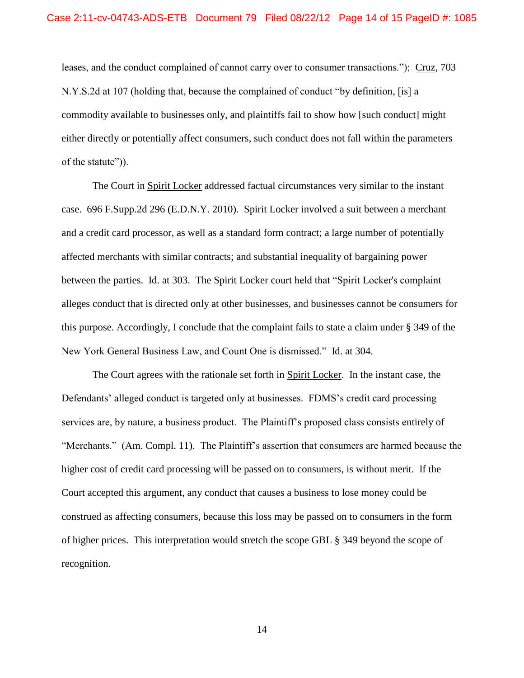leases, and the conduct complained of cannot carry over to consumer transactions."); Cruz, 703 N.Y.S.2d at 107 (holding that, because the complained of conduct "by definition, [is] a commodity available to businesses only, and plaintiffs fail to show how [such conduct] might either directly or potentially affect consumers, such conduct does not fall within the parameters of the statute")).

The Court in Spirit Locker addressed factual circumstances very similar to the instant case. 696 F.Supp.2d 296 (E.D.N.Y. 2010). Spirit Locker involved a suit between a merchant and a credit card processor, as well as a standard form contract; a large number of potentially affected merchants with similar contracts; and substantial inequality of bargaining power between the parties. Id. at 303. The Spirit Locker court held that "Spirit Locker's complaint alleges conduct that is directed only at other businesses, and businesses cannot be consumers for this purpose. Accordingly, I conclude that the complaint fails to state a claim under § 349 of the New York General Business Law, and Count One is dismissed." Id. at 304.

The Court agrees with the rationale set forth in Spirit Locker. In the instant case, the Defendants' alleged conduct is targeted only at businesses. FDMS's credit card processing services are, by nature, a business product. The Plaintiff's proposed class consists entirely of "Merchants." (Am. Compl. 11). The Plaintiff's assertion that consumers are harmed because the higher cost of credit card processing will be passed on to consumers, is without merit. If the Court accepted this argument, any conduct that causes a business to lose money could be construed as affecting consumers, because this loss may be passed on to consumers in the form of higher prices. This interpretation would stretch the scope GBL § 349 beyond the scope of recognition.